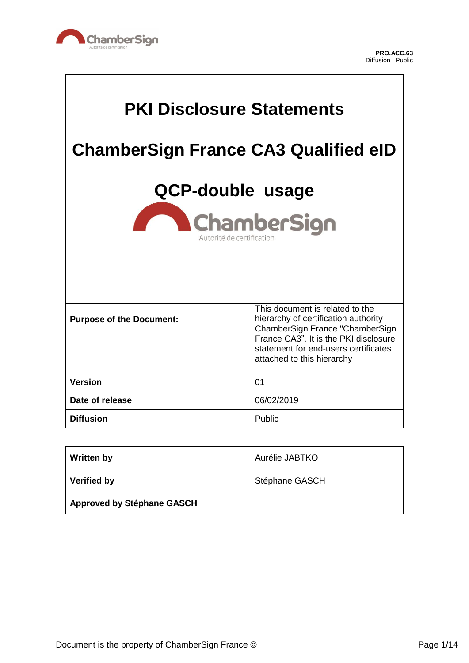

 $\Gamma$ 

٦

| <b>PKI Disclosure Statements</b>                                    |                                                                                                                                                                                                                           |  |
|---------------------------------------------------------------------|---------------------------------------------------------------------------------------------------------------------------------------------------------------------------------------------------------------------------|--|
| <b>ChamberSign France CA3 Qualified eID</b>                         |                                                                                                                                                                                                                           |  |
| QCP-double_usage<br><b>ChamberSign</b><br>Autorité de certification |                                                                                                                                                                                                                           |  |
| <b>Purpose of the Document:</b>                                     | This document is related to the<br>hierarchy of certification authority<br>ChamberSign France "ChamberSign<br>France CA3". It is the PKI disclosure<br>statement for end-users certificates<br>attached to this hierarchy |  |
| <b>Version</b>                                                      | 01                                                                                                                                                                                                                        |  |
| Date of release                                                     | 06/02/2019                                                                                                                                                                                                                |  |
| <b>Diffusion</b>                                                    | Public                                                                                                                                                                                                                    |  |

| <b>Written by</b>                 | Aurélie JABTKO |
|-----------------------------------|----------------|
| <b>Verified by</b>                | Stéphane GASCH |
| <b>Approved by Stéphane GASCH</b> |                |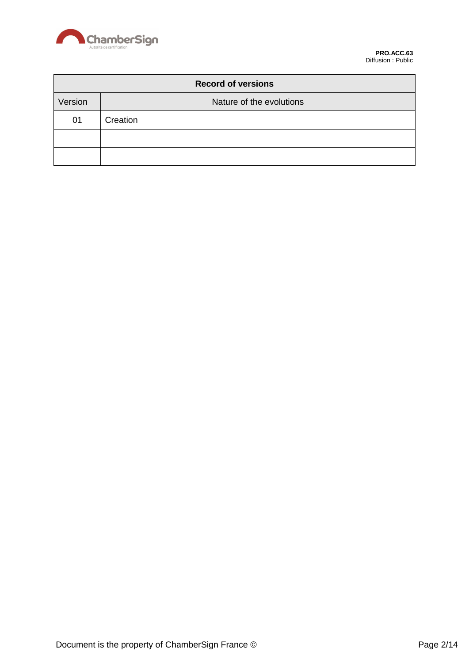

| <b>Record of versions</b> |                          |  |
|---------------------------|--------------------------|--|
| Version                   | Nature of the evolutions |  |
| 01                        | Creation                 |  |
|                           |                          |  |
|                           |                          |  |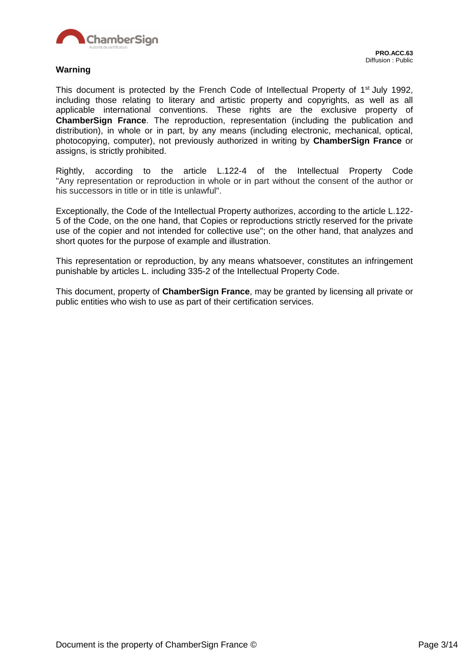

#### **Warning**

This document is protected by the French Code of Intellectual Property of 1<sup>st</sup> July 1992, including those relating to literary and artistic property and copyrights, as well as all applicable international conventions. These rights are the exclusive property of **ChamberSign France**. The reproduction, representation (including the publication and distribution), in whole or in part, by any means (including electronic, mechanical, optical, photocopying, computer), not previously authorized in writing by **ChamberSign France** or assigns, is strictly prohibited.

Rightly, according to the article L.122-4 of the Intellectual Property Code "Any representation or reproduction in whole or in part without the consent of the author or his successors in title or in title is unlawful".

Exceptionally, the Code of the Intellectual Property authorizes, according to the article L.122- 5 of the Code, on the one hand, that Copies or reproductions strictly reserved for the private use of the copier and not intended for collective use"; on the other hand, that analyzes and short quotes for the purpose of example and illustration.

This representation or reproduction, by any means whatsoever, constitutes an infringement punishable by articles L. including 335-2 of the Intellectual Property Code.

This document, property of **ChamberSign France**, may be granted by licensing all private or public entities who wish to use as part of their certification services.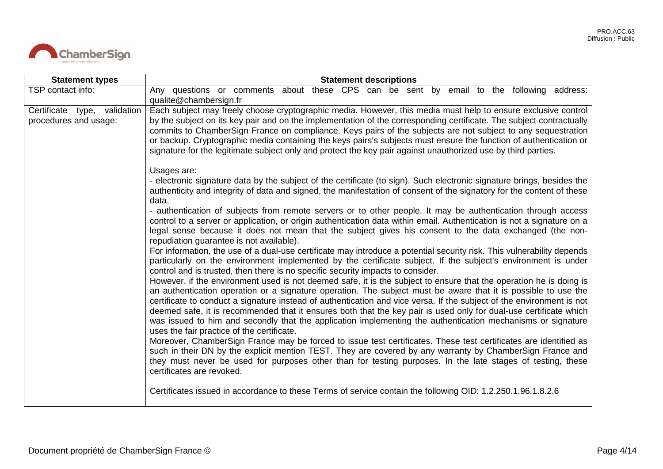

| <b>Statement types</b>                                | <b>Statement descriptions</b>                                                                                                                                                                                                                                                                                                                                                                                                                                                                                                                                                                                                                   |
|-------------------------------------------------------|-------------------------------------------------------------------------------------------------------------------------------------------------------------------------------------------------------------------------------------------------------------------------------------------------------------------------------------------------------------------------------------------------------------------------------------------------------------------------------------------------------------------------------------------------------------------------------------------------------------------------------------------------|
| TSP contact info:                                     | Any questions or comments about these CPS can be sent by email to the following address:<br>qualite@chambersign.fr                                                                                                                                                                                                                                                                                                                                                                                                                                                                                                                              |
| Certificate type, validation<br>procedures and usage: | Each subject may freely choose cryptographic media. However, this media must help to ensure exclusive control<br>by the subject on its key pair and on the implementation of the corresponding certificate. The subject contractually<br>commits to ChamberSign France on compliance. Keys pairs of the subjects are not subject to any sequestration<br>or backup. Cryptographic media containing the keys pairs's subjects must ensure the function of authentication or<br>signature for the legitimate subject only and protect the key pair against unauthorized use by third parties.                                                     |
|                                                       | Usages are:<br>- electronic signature data by the subject of the certificate (to sign). Such electronic signature brings, besides the<br>authenticity and integrity of data and signed, the manifestation of consent of the signatory for the content of these<br>data.                                                                                                                                                                                                                                                                                                                                                                         |
|                                                       | - authentication of subjects from remote servers or to other people. It may be authentication through access<br>control to a server or application, or origin authentication data within email. Authentication is not a signature on a<br>legal sense because it does not mean that the subject gives his consent to the data exchanged (the non-<br>repudiation guarantee is not available).                                                                                                                                                                                                                                                   |
|                                                       | For information, the use of a dual-use certificate may introduce a potential security risk. This vulnerability depends<br>particularly on the environment implemented by the certificate subject. If the subject's environment is under<br>control and is trusted, then there is no specific security impacts to consider.                                                                                                                                                                                                                                                                                                                      |
|                                                       | However, if the environment used is not deemed safe, it is the subject to ensure that the operation he is doing is<br>an authentication operation or a signature operation. The subject must be aware that it is possible to use the<br>certificate to conduct a signature instead of authentication and vice versa. If the subject of the environment is not<br>deemed safe, it is recommended that it ensures both that the key pair is used only for dual-use certificate which<br>was issued to him and secondly that the application implementing the authentication mechanisms or signature<br>uses the fair practice of the certificate. |
|                                                       | Moreover, ChamberSign France may be forced to issue test certificates. These test certificates are identified as<br>such in their DN by the explicit mention TEST. They are covered by any warranty by ChamberSign France and<br>they must never be used for purposes other than for testing purposes. In the late stages of testing, these<br>certificates are revoked.                                                                                                                                                                                                                                                                        |
|                                                       | Certificates issued in accordance to these Terms of service contain the following OID: 1.2.250.1.96.1.8.2.6                                                                                                                                                                                                                                                                                                                                                                                                                                                                                                                                     |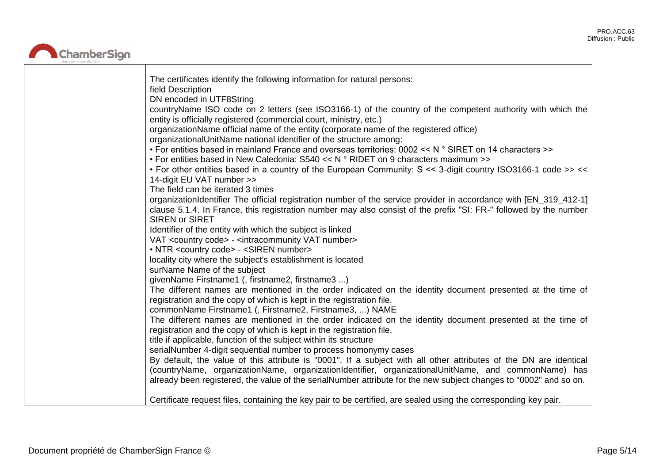

| The certificates identify the following information for natural persons:<br>field Description                                                                                    |
|----------------------------------------------------------------------------------------------------------------------------------------------------------------------------------|
| DN encoded in UTF8String                                                                                                                                                         |
| countryName ISO code on 2 letters (see ISO3166-1) of the country of the competent authority with which the<br>entity is officially registered (commercial court, ministry, etc.) |
| organizationName official name of the entity (corporate name of the registered office)                                                                                           |
| organizationalUnitName national identifier of the structure among:                                                                                                               |
| • For entities based in mainland France and overseas territories: 0002 << N ° SIRET on 14 characters >>                                                                          |
| • For entities based in New Caledonia: $S540 << N$ ° RIDET on 9 characters maximum >>                                                                                            |
| . For other entities based in a country of the European Community: S << 3-digit country ISO3166-1 code >> <<                                                                     |
| 14-digit EU VAT number >>                                                                                                                                                        |
| The field can be iterated 3 times                                                                                                                                                |
| organizationIdentifier The official registration number of the service provider in accordance with [EN_319_412-1]                                                                |
| clause 5.1.4. In France, this registration number may also consist of the prefix "SI: FR-" followed by the number                                                                |
| <b>SIREN or SIRET</b>                                                                                                                                                            |
| Identifier of the entity with which the subject is linked                                                                                                                        |
| VAT <country code=""> - <intracommunity number="" vat=""></intracommunity></country>                                                                                             |
| • NTR <country code=""> - <siren number=""></siren></country>                                                                                                                    |
| locality city where the subject's establishment is located                                                                                                                       |
| surName Name of the subject                                                                                                                                                      |
| givenName Firstname1 (, firstname2, firstname3 )                                                                                                                                 |
| The different names are mentioned in the order indicated on the identity document presented at the time of                                                                       |
| registration and the copy of which is kept in the registration file.                                                                                                             |
| commonName Firstname1 (, Firstname2, Firstname3, ) NAME                                                                                                                          |
| The different names are mentioned in the order indicated on the identity document presented at the time of                                                                       |
| registration and the copy of which is kept in the registration file.                                                                                                             |
| title if applicable, function of the subject within its structure                                                                                                                |
| serialNumber 4-digit sequential number to process homonymy cases                                                                                                                 |
| By default, the value of this attribute is "0001". If a subject with all other attributes of the DN are identical                                                                |
| (countryName, organizationName, organizationIdentifier, organizationalUnitName, and commonName) has                                                                              |
| already been registered, the value of the serialNumber attribute for the new subject changes to "0002" and so on.                                                                |
|                                                                                                                                                                                  |
| Certificate request files, containing the key pair to be certified, are sealed using the corresponding key pair.                                                                 |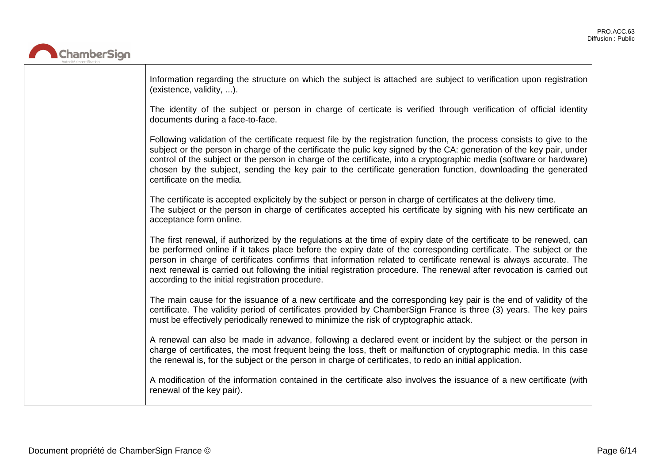

| Information regarding the structure on which the subject is attached are subject to verification upon registration<br>(existence, validity, ).                                                                                                                                                                                                                                                                                                                                                                                              |
|---------------------------------------------------------------------------------------------------------------------------------------------------------------------------------------------------------------------------------------------------------------------------------------------------------------------------------------------------------------------------------------------------------------------------------------------------------------------------------------------------------------------------------------------|
| The identity of the subject or person in charge of certicate is verified through verification of official identity<br>documents during a face-to-face.                                                                                                                                                                                                                                                                                                                                                                                      |
| Following validation of the certificate request file by the registration function, the process consists to give to the<br>subject or the person in charge of the certificate the pulic key signed by the CA: generation of the key pair, under<br>control of the subject or the person in charge of the certificate, into a cryptographic media (software or hardware)<br>chosen by the subject, sending the key pair to the certificate generation function, downloading the generated<br>certificate on the media.                        |
| The certificate is accepted explicitely by the subject or person in charge of certificates at the delivery time.<br>The subject or the person in charge of certificates accepted his certificate by signing with his new certificate an<br>acceptance form online.                                                                                                                                                                                                                                                                          |
| The first renewal, if authorized by the regulations at the time of expiry date of the certificate to be renewed, can<br>be performed online if it takes place before the expiry date of the corresponding certificate. The subject or the<br>person in charge of certificates confirms that information related to certificate renewal is always accurate. The<br>next renewal is carried out following the initial registration procedure. The renewal after revocation is carried out<br>according to the initial registration procedure. |
| The main cause for the issuance of a new certificate and the corresponding key pair is the end of validity of the<br>certificate. The validity period of certificates provided by ChamberSign France is three (3) years. The key pairs<br>must be effectively periodically renewed to minimize the risk of cryptographic attack.                                                                                                                                                                                                            |
| A renewal can also be made in advance, following a declared event or incident by the subject or the person in<br>charge of certificates, the most frequent being the loss, theft or malfunction of cryptographic media. In this case<br>the renewal is, for the subject or the person in charge of certificates, to redo an initial application.                                                                                                                                                                                            |
| A modification of the information contained in the certificate also involves the issuance of a new certificate (with<br>renewal of the key pair).                                                                                                                                                                                                                                                                                                                                                                                           |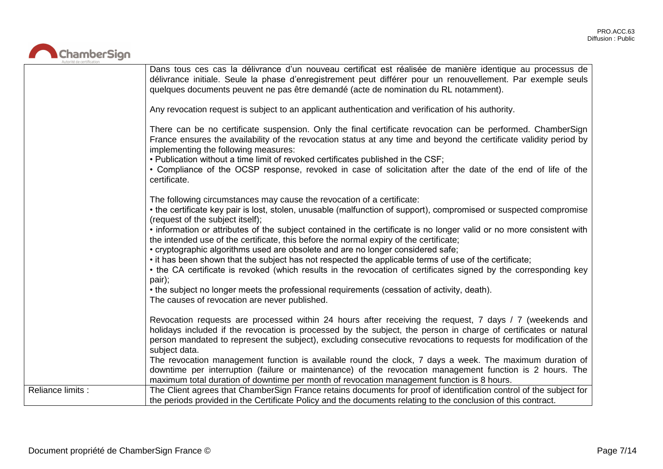

|                   | Dans tous ces cas la délivrance d'un nouveau certificat est réalisée de manière identique au processus de<br>délivrance initiale. Seule la phase d'enregistrement peut différer pour un renouvellement. Par exemple seuls<br>quelques documents peuvent ne pas être demandé (acte de nomination du RL notamment).<br>Any revocation request is subject to an applicant authentication and verification of his authority.<br>There can be no certificate suspension. Only the final certificate revocation can be performed. ChamberSign<br>France ensures the availability of the revocation status at any time and beyond the certificate validity period by<br>implementing the following measures:<br>. Publication without a time limit of revoked certificates published in the CSF;<br>• Compliance of the OCSP response, revoked in case of solicitation after the date of the end of life of the<br>certificate.       |
|-------------------|--------------------------------------------------------------------------------------------------------------------------------------------------------------------------------------------------------------------------------------------------------------------------------------------------------------------------------------------------------------------------------------------------------------------------------------------------------------------------------------------------------------------------------------------------------------------------------------------------------------------------------------------------------------------------------------------------------------------------------------------------------------------------------------------------------------------------------------------------------------------------------------------------------------------------------|
|                   | The following circumstances may cause the revocation of a certificate:<br>• the certificate key pair is lost, stolen, unusable (malfunction of support), compromised or suspected compromise<br>(request of the subject itself);<br>• information or attributes of the subject contained in the certificate is no longer valid or no more consistent with<br>the intended use of the certificate, this before the normal expiry of the certificate;<br>• cryptographic algorithms used are obsolete and are no longer considered safe;<br>• it has been shown that the subject has not respected the applicable terms of use of the certificate;<br>• the CA certificate is revoked (which results in the revocation of certificates signed by the corresponding key<br>pair);<br>• the subject no longer meets the professional requirements (cessation of activity, death).<br>The causes of revocation are never published. |
|                   | Revocation requests are processed within 24 hours after receiving the request, 7 days / 7 (weekends and<br>holidays included if the revocation is processed by the subject, the person in charge of certificates or natural<br>person mandated to represent the subject), excluding consecutive revocations to requests for modification of the<br>subject data.<br>The revocation management function is available round the clock, 7 days a week. The maximum duration of<br>downtime per interruption (failure or maintenance) of the revocation management function is 2 hours. The<br>maximum total duration of downtime per month of revocation management function is 8 hours.                                                                                                                                                                                                                                          |
| Reliance limits : | The Client agrees that ChamberSign France retains documents for proof of identification control of the subject for<br>the periods provided in the Certificate Policy and the documents relating to the conclusion of this contract.                                                                                                                                                                                                                                                                                                                                                                                                                                                                                                                                                                                                                                                                                            |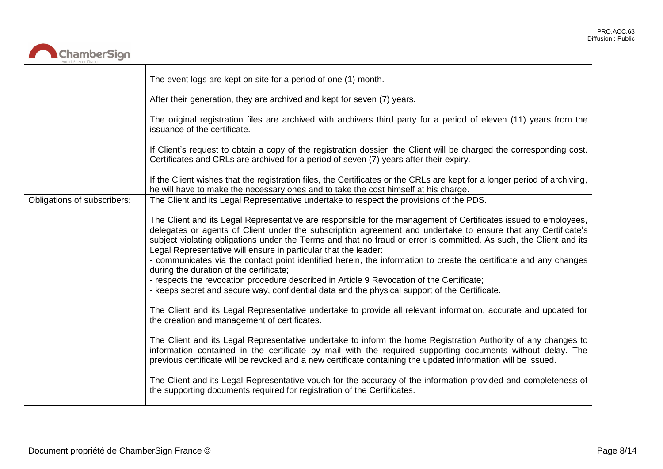

|                             | The event logs are kept on site for a period of one (1) month.                                                                                                                                                                                                                                                                                                                                                                                                                                                                                                                                                                                                                                                                                                                                                                                                                                             |
|-----------------------------|------------------------------------------------------------------------------------------------------------------------------------------------------------------------------------------------------------------------------------------------------------------------------------------------------------------------------------------------------------------------------------------------------------------------------------------------------------------------------------------------------------------------------------------------------------------------------------------------------------------------------------------------------------------------------------------------------------------------------------------------------------------------------------------------------------------------------------------------------------------------------------------------------------|
|                             | After their generation, they are archived and kept for seven (7) years.                                                                                                                                                                                                                                                                                                                                                                                                                                                                                                                                                                                                                                                                                                                                                                                                                                    |
|                             | The original registration files are archived with archivers third party for a period of eleven (11) years from the<br>issuance of the certificate.                                                                                                                                                                                                                                                                                                                                                                                                                                                                                                                                                                                                                                                                                                                                                         |
|                             | If Client's request to obtain a copy of the registration dossier, the Client will be charged the corresponding cost.<br>Certificates and CRLs are archived for a period of seven (7) years after their expiry.                                                                                                                                                                                                                                                                                                                                                                                                                                                                                                                                                                                                                                                                                             |
|                             | If the Client wishes that the registration files, the Certificates or the CRLs are kept for a longer period of archiving,<br>he will have to make the necessary ones and to take the cost himself at his charge.                                                                                                                                                                                                                                                                                                                                                                                                                                                                                                                                                                                                                                                                                           |
| Obligations of subscribers: | The Client and its Legal Representative undertake to respect the provisions of the PDS.                                                                                                                                                                                                                                                                                                                                                                                                                                                                                                                                                                                                                                                                                                                                                                                                                    |
|                             | The Client and its Legal Representative are responsible for the management of Certificates issued to employees,<br>delegates or agents of Client under the subscription agreement and undertake to ensure that any Certificate's<br>subject violating obligations under the Terms and that no fraud or error is committed. As such, the Client and its<br>Legal Representative will ensure in particular that the leader:<br>- communicates via the contact point identified herein, the information to create the certificate and any changes<br>during the duration of the certificate;<br>- respects the revocation procedure described in Article 9 Revocation of the Certificate;<br>- keeps secret and secure way, confidential data and the physical support of the Certificate.<br>The Client and its Legal Representative undertake to provide all relevant information, accurate and updated for |
|                             | the creation and management of certificates.                                                                                                                                                                                                                                                                                                                                                                                                                                                                                                                                                                                                                                                                                                                                                                                                                                                               |
|                             | The Client and its Legal Representative undertake to inform the home Registration Authority of any changes to<br>information contained in the certificate by mail with the required supporting documents without delay. The<br>previous certificate will be revoked and a new certificate containing the updated information will be issued.                                                                                                                                                                                                                                                                                                                                                                                                                                                                                                                                                               |
|                             | The Client and its Legal Representative vouch for the accuracy of the information provided and completeness of<br>the supporting documents required for registration of the Certificates.                                                                                                                                                                                                                                                                                                                                                                                                                                                                                                                                                                                                                                                                                                                  |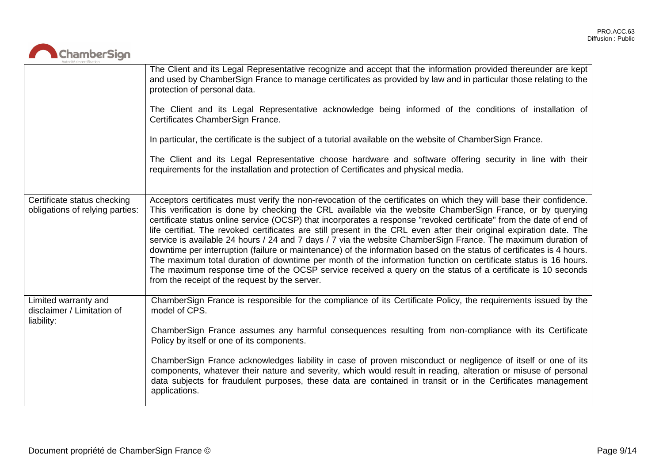

|                                                                  | The Client and its Legal Representative recognize and accept that the information provided thereunder are kept<br>and used by ChamberSign France to manage certificates as provided by law and in particular those relating to the<br>protection of personal data.<br>The Client and its Legal Representative acknowledge being informed of the conditions of installation of<br>Certificates ChamberSign France.<br>In particular, the certificate is the subject of a tutorial available on the website of ChamberSign France.<br>The Client and its Legal Representative choose hardware and software offering security in line with their<br>requirements for the installation and protection of Certificates and physical media.                                                                                                                                                                                                                                                                          |
|------------------------------------------------------------------|----------------------------------------------------------------------------------------------------------------------------------------------------------------------------------------------------------------------------------------------------------------------------------------------------------------------------------------------------------------------------------------------------------------------------------------------------------------------------------------------------------------------------------------------------------------------------------------------------------------------------------------------------------------------------------------------------------------------------------------------------------------------------------------------------------------------------------------------------------------------------------------------------------------------------------------------------------------------------------------------------------------|
| Certificate status checking<br>obligations of relying parties:   | Acceptors certificates must verify the non-revocation of the certificates on which they will base their confidence.<br>This verification is done by checking the CRL available via the website ChamberSign France, or by querying<br>certificate status online service (OCSP) that incorporates a response "revoked certificate" from the date of end of<br>life certifiat. The revoked certificates are still present in the CRL even after their original expiration date. The<br>service is available 24 hours / 24 and 7 days / 7 via the website ChamberSign France. The maximum duration of<br>downtime per interruption (failure or maintenance) of the information based on the status of certificates is 4 hours.<br>The maximum total duration of downtime per month of the information function on certificate status is 16 hours.<br>The maximum response time of the OCSP service received a query on the status of a certificate is 10 seconds<br>from the receipt of the request by the server. |
| Limited warranty and<br>disclaimer / Limitation of<br>liability: | ChamberSign France is responsible for the compliance of its Certificate Policy, the requirements issued by the<br>model of CPS.<br>ChamberSign France assumes any harmful consequences resulting from non-compliance with its Certificate<br>Policy by itself or one of its components.<br>ChamberSign France acknowledges liability in case of proven misconduct or negligence of itself or one of its<br>components, whatever their nature and severity, which would result in reading, alteration or misuse of personal<br>data subjects for fraudulent purposes, these data are contained in transit or in the Certificates management<br>applications.                                                                                                                                                                                                                                                                                                                                                    |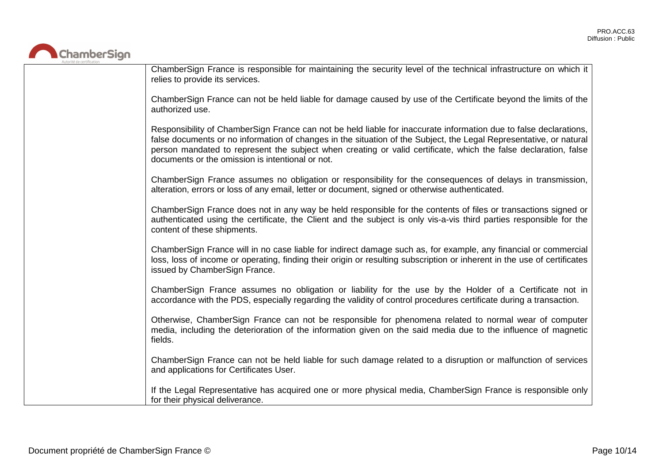

ChamberSign France is responsible for maintaining the security level of the technical infrastructure on which it relies to provide its services.

ChamberSign France can not be held liable for damage caused by use of the Certificate beyond the limits of the authorized use.

Responsibility of ChamberSign France can not be held liable for inaccurate information due to false declarations, false documents or no information of changes in the situation of the Subject, the Legal Representative, or natural person mandated to represent the subject when creating or valid certificate, which the false declaration, false documents or the omission is intentional or not.

ChamberSign France assumes no obligation or responsibility for the consequences of delays in transmission, alteration, errors or loss of any email, letter or document, signed or otherwise authenticated.

ChamberSign France does not in any way be held responsible for the contents of files or transactions signed or authenticated using the certificate, the Client and the subject is only vis-a-vis third parties responsible for the content of these shipments.

ChamberSign France will in no case liable for indirect damage such as, for example, any financial or commercial loss, loss of income or operating, finding their origin or resulting subscription or inherent in the use of certificates issued by ChamberSign France.

ChamberSign France assumes no obligation or liability for the use by the Holder of a Certificate not in accordance with the PDS, especially regarding the validity of control procedures certificate during a transaction.

Otherwise, ChamberSign France can not be responsible for phenomena related to normal wear of computer media, including the deterioration of the information given on the said media due to the influence of magnetic fields.

ChamberSign France can not be held liable for such damage related to a disruption or malfunction of services and applications for Certificates User.

If the Legal Representative has acquired one or more physical media, ChamberSign France is responsible only for their physical deliverance.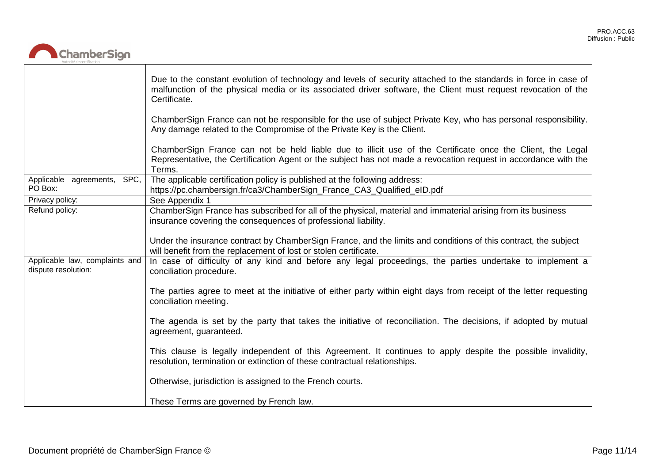

|                                                       | Due to the constant evolution of technology and levels of security attached to the standards in force in case of<br>malfunction of the physical media or its associated driver software, the Client must request revocation of the<br>Certificate. |
|-------------------------------------------------------|----------------------------------------------------------------------------------------------------------------------------------------------------------------------------------------------------------------------------------------------------|
|                                                       | ChamberSign France can not be responsible for the use of subject Private Key, who has personal responsibility.<br>Any damage related to the Compromise of the Private Key is the Client.                                                           |
|                                                       | ChamberSign France can not be held liable due to illicit use of the Certificate once the Client, the Legal<br>Representative, the Certification Agent or the subject has not made a revocation request in accordance with the<br>Terms.            |
| Applicable agreements, SPC,<br>PO Box:                | The applicable certification policy is published at the following address:<br>https://pc.chambersign.fr/ca3/ChamberSign_France_CA3_Qualified_eID.pdf                                                                                               |
| Privacy policy:                                       | See Appendix 1                                                                                                                                                                                                                                     |
| Refund policy:                                        | ChamberSign France has subscribed for all of the physical, material and immaterial arising from its business<br>insurance covering the consequences of professional liability.                                                                     |
|                                                       | Under the insurance contract by ChamberSign France, and the limits and conditions of this contract, the subject<br>will benefit from the replacement of lost or stolen certificate.                                                                |
| Applicable law, complaints and<br>dispute resolution: | In case of difficulty of any kind and before any legal proceedings, the parties undertake to implement a<br>conciliation procedure.                                                                                                                |
|                                                       | The parties agree to meet at the initiative of either party within eight days from receipt of the letter requesting<br>conciliation meeting.                                                                                                       |
|                                                       | The agenda is set by the party that takes the initiative of reconciliation. The decisions, if adopted by mutual<br>agreement, guaranteed.                                                                                                          |
|                                                       | This clause is legally independent of this Agreement. It continues to apply despite the possible invalidity,<br>resolution, termination or extinction of these contractual relationships.                                                          |
|                                                       | Otherwise, jurisdiction is assigned to the French courts.                                                                                                                                                                                          |
|                                                       | These Terms are governed by French law.                                                                                                                                                                                                            |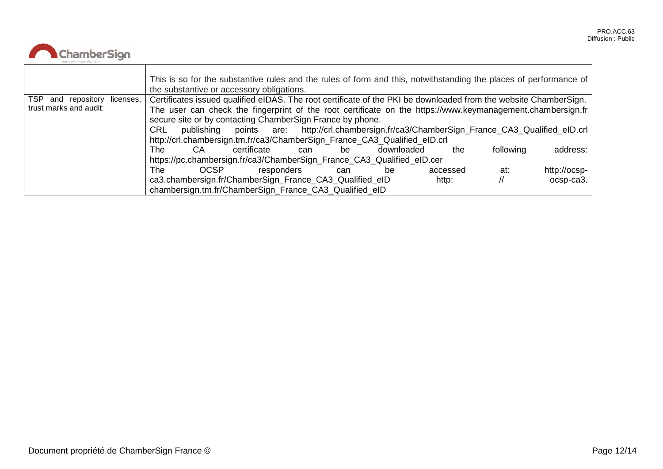

|                                 | This is so for the substantive rules and the rules of form and this, notwithstanding the places of performance of<br>the substantive or accessory obligations. |  |  |  |
|---------------------------------|----------------------------------------------------------------------------------------------------------------------------------------------------------------|--|--|--|
| TSP and repository<br>licenses, | Certificates issued qualified eIDAS. The root certificate of the PKI be downloaded from the website ChamberSign.                                               |  |  |  |
| trust marks and audit:          | The user can check the fingerprint of the root certificate on the https://www.keymanagement.chambersign.fr                                                     |  |  |  |
|                                 | secure site or by contacting ChamberSign France by phone.                                                                                                      |  |  |  |
|                                 | points are: http://crl.chambersign.fr/ca3/ChamberSign_France_CA3_Qualified_eID.crl<br><b>CRL</b><br>publishing                                                 |  |  |  |
|                                 | http://crl.chambersign.tm.fr/ca3/ChamberSign_France_CA3_Qualified_eID.crl                                                                                      |  |  |  |
|                                 | address:<br>following<br>CA.<br>certificate<br>downloaded<br>The .<br>the.<br>be<br>can                                                                        |  |  |  |
|                                 | https://pc.chambersign.fr/ca3/ChamberSign_France_CA3_Qualified_eID.cer                                                                                         |  |  |  |
|                                 | <b>OCSP</b><br>http://ocsp-<br>The .<br>responders<br>accessed<br>at:<br>be<br>can                                                                             |  |  |  |
|                                 | ca3.chambersign.fr/ChamberSign_France_CA3_Qualified_eID<br>$ocsp-ca3.$<br>http:                                                                                |  |  |  |
|                                 | chambersign.tm.fr/ChamberSign_France_CA3_Qualified_eID                                                                                                         |  |  |  |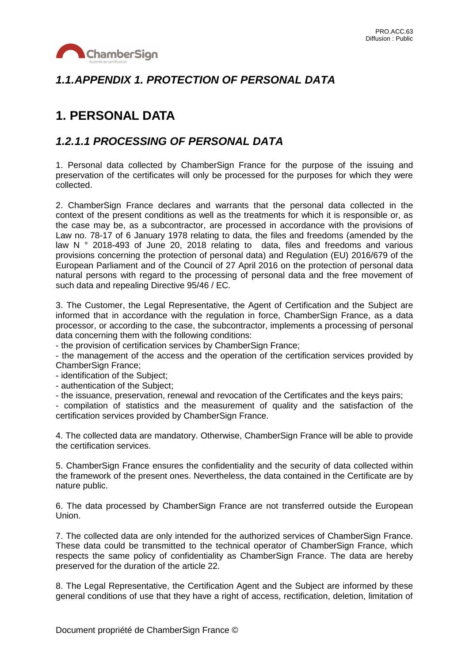

## *1.1.APPENDIX 1. PROTECTION OF PERSONAL DATA*

# **1. PERSONAL DATA**

### *1.2.1.1 PROCESSING OF PERSONAL DATA*

1. Personal data collected by ChamberSign France for the purpose of the issuing and preservation of the certificates will only be processed for the purposes for which they were collected.

2. ChamberSign France declares and warrants that the personal data collected in the context of the present conditions as well as the treatments for which it is responsible or, as the case may be, as a subcontractor, are processed in accordance with the provisions of Law no. 78-17 of 6 January 1978 relating to data, the files and freedoms (amended by the law N ° 2018-493 of June 20, 2018 relating to data, files and freedoms and various provisions concerning the protection of personal data) and Regulation (EU) 2016/679 of the European Parliament and of the Council of 27 April 2016 on the protection of personal data natural persons with regard to the processing of personal data and the free movement of such data and repealing Directive 95/46 / EC.

3. The Customer, the Legal Representative, the Agent of Certification and the Subject are informed that in accordance with the regulation in force, ChamberSign France, as a data processor, or according to the case, the subcontractor, implements a processing of personal data concerning them with the following conditions:

- the provision of certification services by ChamberSign France;

- the management of the access and the operation of the certification services provided by ChamberSign France;

- identification of the Subject;

- authentication of the Subject;

- the issuance, preservation, renewal and revocation of the Certificates and the keys pairs;

- compilation of statistics and the measurement of quality and the satisfaction of the certification services provided by ChamberSign France.

4. The collected data are mandatory. Otherwise, ChamberSign France will be able to provide the certification services.

5. ChamberSign France ensures the confidentiality and the security of data collected within the framework of the present ones. Nevertheless, the data contained in the Certificate are by nature public.

6. The data processed by ChamberSign France are not transferred outside the European Union.

7. The collected data are only intended for the authorized services of ChamberSign France. These data could be transmitted to the technical operator of ChamberSign France, which respects the same policy of confidentiality as ChamberSign France. The data are hereby preserved for the duration of the article 22.

8. The Legal Representative, the Certification Agent and the Subject are informed by these general conditions of use that they have a right of access, rectification, deletion, limitation of